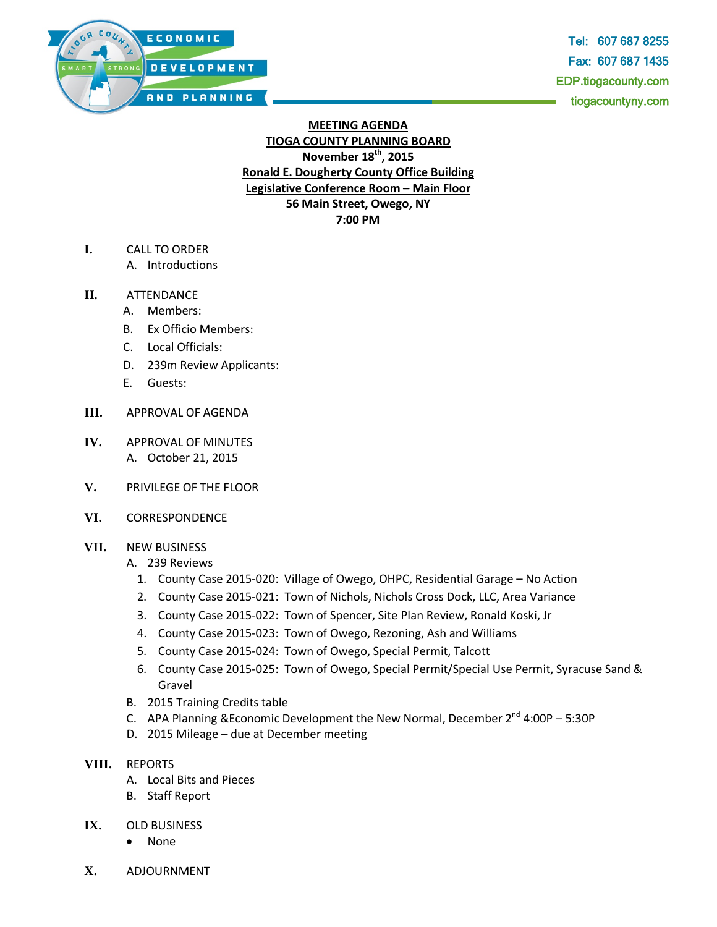

Tel: 607 687 8255 Fax: 607 687 1435 EDP.tiogacounty.com tiogacountyny.com

## **MEETING AGENDA TIOGA COUNTY PLANNING BOARD November 18th, 2015 Ronald E. Dougherty County Office Building Legislative Conference Room – Main Floor 56 Main Street, Owego, NY 7:00 PM**

- **I.** CALL TO ORDER
	- A. Introductions

## **II.** ATTENDANCE

- A. Members:
- B. Ex Officio Members:
- C. Local Officials:
- D. 239m Review Applicants:
- E. Guests:
- **III.** APPROVAL OF AGENDA
- **IV.** APPROVAL OF MINUTES A. October 21, 2015
- **V.** PRIVILEGE OF THE FLOOR
- **VI.** CORRESPONDENCE

## **VII.** NEW BUSINESS

- A. 239 Reviews
	- 1. County Case 2015-020: Village of Owego, OHPC, Residential Garage No Action
	- 2. County Case 2015-021: Town of Nichols, Nichols Cross Dock, LLC, Area Variance
	- 3. County Case 2015-022: Town of Spencer, Site Plan Review, Ronald Koski, Jr
	- 4. County Case 2015-023: Town of Owego, Rezoning, Ash and Williams
	- 5. County Case 2015-024: Town of Owego, Special Permit, Talcott
	- 6. County Case 2015-025: Town of Owego, Special Permit/Special Use Permit, Syracuse Sand & Gravel
- B. 2015 Training Credits table
- C. APA Planning & Economic Development the New Normal, December  $2^{nd}$  4:00P 5:30P
- D. 2015 Mileage due at December meeting

## **VIII.** REPORTS

- A. Local Bits and Pieces
- B. Staff Report
- **IX.** OLD BUSINESS
	- None
- **X.** ADJOURNMENT